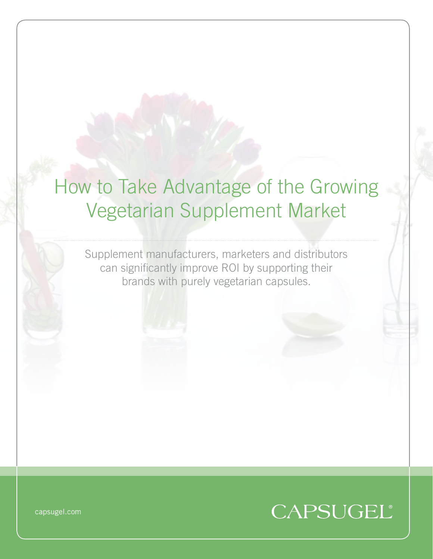## How to Take Advantage of the Growing Vegetarian Supplement Market

Supplement manufacturers, marketers and distributors can significantly improve ROI by supporting their brands with purely vegetarian capsules.



capsugel.com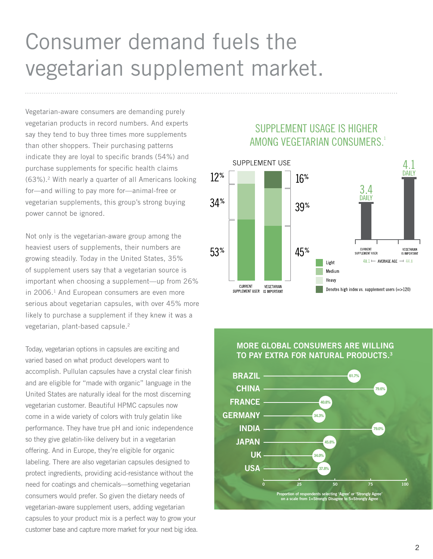# Consumer demand fuels the vegetarian supplement market.

Vegetarian-aware consumers are demanding purely vegetarian products in record numbers. And experts say they tend to buy three times more supplements than other shoppers. Their purchasing patterns indicate they are loyal to specific brands (54%) and purchase supplements for specific health claims (63%).2 With nearly a quarter of all Americans looking for—and willing to pay more for—animal-free or vegetarian supplements, this group's strong buying power cannot be ignored.

Not only is the vegetarian-aware group among the heaviest users of supplements, their numbers are growing steadily. Today in the United States, 35% of supplement users say that a vegetarian source is important when choosing a supplement—up from 26% in 2006.<sup>1</sup> And European consumers are even more serious about vegetarian capsules, with over 45% more likely to purchase a supplement if they knew it was a vegetarian, plant-based capsule.<sup>2</sup>

Today, vegetarian options in capsules are exciting and varied based on what product developers want to accomplish. Pullulan capsules have a crystal clear finish and are eligible for "made with organic" language in the United States are naturally ideal for the most discerning vegetarian customer. Beautiful HPMC capsules now come in a wide variety of colors with truly gelatin like performance. They have true pH and ionic independence so they give gelatin-like delivery but in a vegetarian offering. And in Europe, they're eligible for organic labeling. There are also vegetarian capsules designed to protect ingredients, providing acid-resistance without the need for coatings and chemicals—something vegetarian consumers would prefer. So given the dietary needs of vegetarian-aware supplement users, adding vegetarian capsules to your product mix is a perfect way to grow your customer base and capture more market for your next big idea.

#### SUPPLEMENT USAGE IS HIGHER AMONG VEGETARIAN CONSUMERS.<sup>1</sup>



#### More Global Consumers are Willing to Pay Extra for Natural Products.3

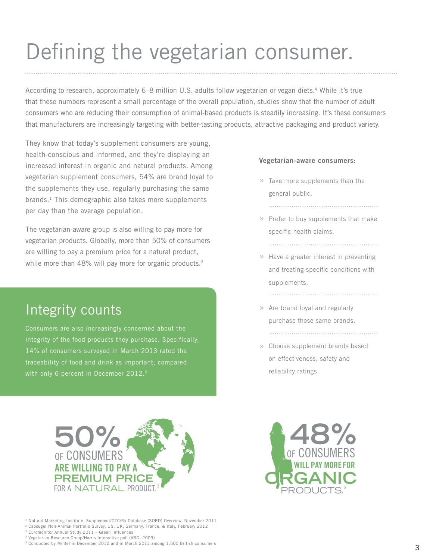# Defining the vegetarian consumer.

According to research, approximately 6–8 million U.S. adults follow vegetarian or vegan diets.4 While it's true that these numbers represent a small percentage of the overall population, studies show that the number of adult consumers who are reducing their consumption of animal-based products is steadily increasing. It's these consumers that manufacturers are increasingly targeting with better-tasting products, attractive packaging and product variety.

They know that today's supplement consumers are young, health-conscious and informed, and they're displaying an increased interest in organic and natural products. Among vegetarian supplement consumers, 54% are brand loyal to the supplements they use, regularly purchasing the same brands. $<sup>1</sup>$  This demographic also takes more supplements</sup> per day than the average population.

The vegetarian-aware group is also willing to pay more for vegetarian products. Globally, more than 50% of consumers are willing to pay a premium price for a natural product, while more than 48% will pay more for organic products.<sup>3</sup>

### Integrity counts

Consumers are also increasingly concerned about the integrity of the food products they purchase. Specifically, 14% of consumers surveyed in March 2013 rated the traceability of food and drink as important, compared with only 6 percent in December 2012.<sup>5</sup>

#### Vegetarian-aware consumers:

- $\gg$  Take more supplements than the general public.
	-

- » Prefer to buy supplements that make specific health claims.
- » Have a greater interest in preventing and treating specific conditions with supplements.

- » Are brand loyal and regularly purchase those same brands.
- Choose supplement brands based » on effectiveness, safety and reliability ratings.



<sup>1</sup> Natural Marketing Institute, Supplement/OTC/Rx Database (SORD) Overview, November 2011

2 Capsugel Non-Animal Portfolio Survey, US, UK, Germany, France, & Italy, February 2012

3 Euromonitor Annual Study 2011 – Green Influences

4 Vegetarian Resource Group/Harris Interactive poll (VRG, 2009)

5 Conducted by Mintel in December 2012 and in March 2013 among 1,500 British consumers

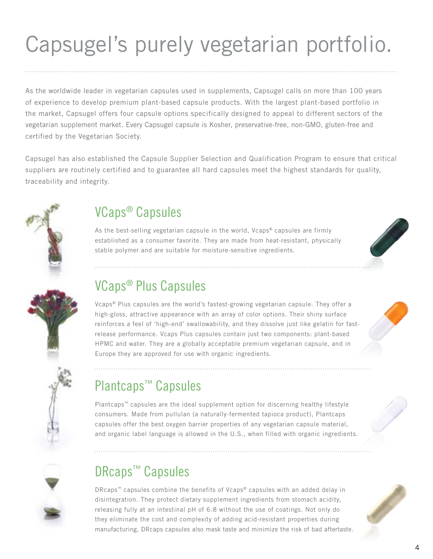# Capsugel's purely vegetarian portfolio.

As the worldwide leader in vegetarian capsules used in supplements, Capsugel calls on more than 100 years of experience to develop premium plant-based capsule products. With the largest plant-based portfolio in the market, Capsugel offers four capsule options specifically designed to appeal to different sectors of the vegetarian supplement market. Every Capsugel capsule is Kosher, preservative-free, non-GMO, gluten-free and certified by the Vegetarian Society.

Capsugel has also established the Capsule Supplier Selection and Qualification Program to ensure that critical suppliers are routinely certified and to guarantee all hard capsules meet the highest standards for quality, traceability and integrity.



### VCaps® Capsules

As the best-selling vegetarian capsule in the world, Vcaps® capsules are firmly established as a consumer favorite. They are made from heat-resistant, physically stable polymer and are suitable for moisture-sensitive ingredients.





### VCaps® Plus Capsules

Vcaps® Plus capsules are the world's fastest-growing vegetarian capsule. They offer a high-gloss, attractive appearance with an array of color options. Their shiny surface reinforces a feel of 'high-end' swallowability, and they dissolve just like gelatin for fastrelease performance. Vcaps Plus capsules contain just two components: plant-based HPMC and water. They are a globally acceptable premium vegetarian capsule, and in Europe they are approved for use with organic ingredients.

### Plantcaps™ Capsules

Plantcaps™ capsules are the ideal supplement option for discerning healthy lifestyle consumers. Made from pullulan (a naturally-fermented tapioca product), Plantcaps capsules offer the best oxygen barrier properties of any vegetarian capsule material, and organic label language is allowed in the U.S., when filled with organic ingredients.

### DRcaps<sup>™</sup> Capsules

DRcaps™ capsules combine the benefits of Vcaps® capsules with an added delay in disintegration. They protect dietary supplement ingredients from stomach acidity, releasing fully at an intestinal pH of 6.8 without the use of coatings. Not only do they eliminate the cost and complexity of adding acid-resistant properties during manufacturing, DRcaps capsules also mask taste and minimize the risk of bad aftertaste.